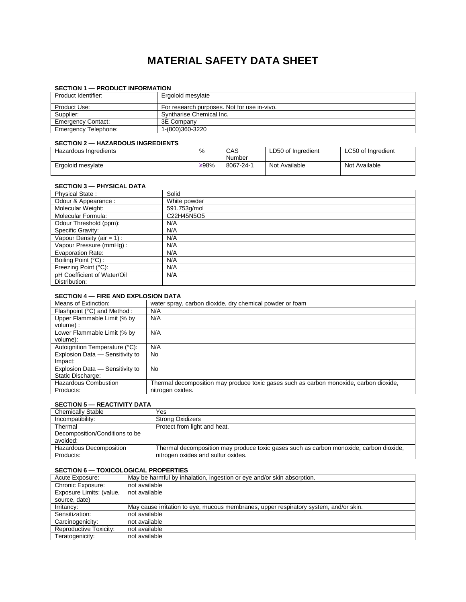# **MATERIAL SAFETY DATA SHEET**

## Product Identifier: Frequence Management Controller Product Identifier: Product Use: For research purposes. Not for use in-vivo. Supplier: Syntharise Chemical Inc.<br>
Emergency Contact: 3E Company Emergency Contact: 3E Company<br>Emergency Telephone: 1-(800)360-3220 Emergency Telephone:

#### **SECTION 1 — PRODUCT INFORMATION**

#### **SECTION 2 — HAZARDOUS INGREDIENTS**

| ---------             |      |           |                    |                    |
|-----------------------|------|-----------|--------------------|--------------------|
| Hazardous Ingredients | %    | CAS       | LD50 of Ingredient | LC50 of Ingredient |
|                       |      | Number    |                    |                    |
| Ergoloid mesylate     | ≥98% | 8067-24-1 | Not Available      | Not Available      |
|                       |      |           |                    |                    |

## **SECTION 3 — PHYSICAL DATA**

| <b>Physical State:</b>        | Solid        |
|-------------------------------|--------------|
| Odour & Appearance:           | White powder |
| Molecular Weight:             | 591.753q/mol |
| Molecular Formula:            | C22H45N5O5   |
| Odour Threshold (ppm):        | N/A          |
| Specific Gravity:             | N/A          |
| Vapour Density (air = $1$ ) : | N/A          |
| Vapour Pressure (mmHq):       | N/A          |
| <b>Evaporation Rate:</b>      | N/A          |
| Boiling Point (°C) :          | N/A          |
| Freezing Point (°C):          | N/A          |
| pH Coefficient of Water/Oil   | N/A          |
| Distribution:                 |              |

#### **SECTION 4 — FIRE AND EXPLOSION DATA**

| Means of Extinction:            | water spray, carbon dioxide, dry chemical powder or foam                               |
|---------------------------------|----------------------------------------------------------------------------------------|
| Flashpoint (°C) and Method :    | N/A                                                                                    |
| Upper Flammable Limit (% by     | N/A                                                                                    |
| volume) :                       |                                                                                        |
| Lower Flammable Limit (% by     | N/A                                                                                    |
| volume):                        |                                                                                        |
| Autoignition Temperature (°C):  | N/A                                                                                    |
| Explosion Data - Sensitivity to | No.                                                                                    |
| Impact:                         |                                                                                        |
| Explosion Data - Sensitivity to | No                                                                                     |
| Static Discharge:               |                                                                                        |
| <b>Hazardous Combustion</b>     | Thermal decomposition may produce toxic gases such as carbon monoxide, carbon dioxide, |
| Products:                       | nitrogen oxides.                                                                       |

## **SECTION 5 — REACTIVITY DATA**

| <b>Chemically Stable</b>       | Yes                                                                                    |
|--------------------------------|----------------------------------------------------------------------------------------|
| Incompatibility:               | <b>Strong Oxidizers</b>                                                                |
| Thermal                        | Protect from light and heat.                                                           |
| Decomposition/Conditions to be |                                                                                        |
| avoided:                       |                                                                                        |
| Hazardous Decomposition        | Thermal decomposition may produce toxic gases such as carbon monoxide, carbon dioxide, |
| Products:                      | nitrogen oxides and sulfur oxides.                                                     |
|                                |                                                                                        |

#### **SECTION 6 — TOXICOLOGICAL PROPERTIES**

| Acute Exposure:          | May be harmful by inhalation, ingestion or eye and/or skin absorption.                |
|--------------------------|---------------------------------------------------------------------------------------|
| Chronic Exposure:        | not available                                                                         |
| Exposure Limits: (value, | not available                                                                         |
| source, date)            |                                                                                       |
| Irritancy:               | May cause irritation to eye, mucous membranes, upper respiratory system, and/or skin. |
| Sensitization:           | not available                                                                         |
| Carcinogenicity:         | not available                                                                         |
| Reproductive Toxicity:   | not available                                                                         |
| Teratogenicity:          | not available                                                                         |